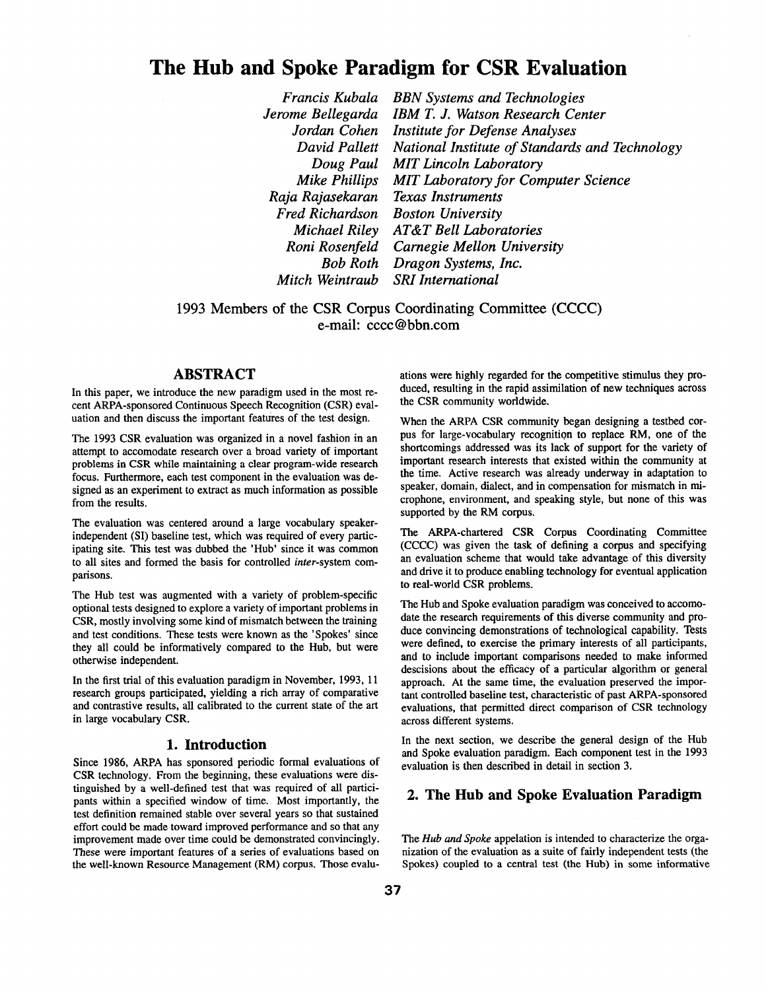# **The Hub and Spoke Paradigm for CSR Evaluation**

*Francis Kubala Jerome Bellegarda Jordan Cohen Institute for Defense Analyses David Pallett Doug Paul MIT Lincoln Laboratory Mike Phillips MIT Laboratory for Computer Science Raja Rajasekaran Fred Richardson Michael Riley AT&T Bell Laboratories Roni Rosenfeld Carnegie Mellon University Bob Roth Dragon Systems, Inc. Mitch Weintraub SRI International BBN Systems and Technologies IBM T. J. Watson Research Center National Institute of Standards and Technology Texas Instruments Boston University* 

1993 Members of the CSR Corpus Coordinating Committee (CCCC) e-mail: cccc@bbn.com

# **ABSTRACT**

In this paper, we introduce the new paradigm used in the most recent ARPA-sponsored Continuous Speech Recognition (CSR) evaluation and then discuss the important features of the test design.

The 1993 CSR evaluation was organized in a novel fashion in **an**  attempt to accomodate research over a broad variety of important problems in CSR while maintaining a clear program-wide research focus. Furthermore, each test component in the evaluation was designed as an experiment to extract as much information as possible from the results.

The evaluation was centered around a large vocabulary speakerindependent (SI) baseline test, which was required of every participating site. This test was dubbed the 'Hub' since it was common to all sites and formed the basis for controlled *inter-system* comparisons.

The Hub test was augmented with a variety of problem-specific optional tests designed to explore a variety of important problems in CSR, mostly involving some kind of mismatch between the training and test conditions. These tests were known as the 'Spokes' since they all could be informatively compared to the Hub, but were otherwise independent.

In the first trial of this evaluation paradigm in November, 1993, 11 research groups participated, yielding a rich array of comparative and contrastive results, all calibrated to the current state of the art in large vocabulary CSR.

### **1. Introduction**

Since 1986, ARPA has sponsored periodic formal evaluations of CSR technology. From the beginning, these evaluations were distinguished by a well-defined test that was required of all participants within a specified window of time. Most importantly, the test definition remained stable over several years so that sustained effort could be made toward improved performance and so that any improvement made over time could be demonstrated convincingly. These were important features of a series of evaluations based on the well-known Resource Management (RM) corpus. Those evaluations were highly regarded for the competitive stimulus they produced, resulting in the rapid assimilation of new techniques across the CSR community worldwide.

When the ARPA CSR community began designing a testbed corpus for large-vocabulary recognition to replace RM, one of the shortcomings addressed was its lack of support for the variety of important research interests that existed within the community at **the** time. Active research was already underway in adaptation to speaker, domain, dialect, and in compensation for mismatch in microphone, environment, and speaking style, but none of this was supported by the RM corpus.

The ARPA-chartered CSR Corpus Coordinating Committee (CCCC) was given the task of defining a corpus and specifying an evaluation scheme that would take advantage of this diversity and drive it to produce enabling technology for eventual application to real-world CSR problems.

The Hub and Spoke evaluation paradigm was conceived to accomodate the research requirements of this diverse community and produce convincing demonstrations of technological capability. Tests were defined, to exercise the primary interests of all participants, and to include important comparisons needed to make informed descisions about the efficacy of a particular algorithm or general approach. At the same time, the evaluation preserved the important controlled baseline test, characteristic of past ARPA-sponsored evaluations, that permitted direct comparison of CSR technology across different systems.

In the next section, we describe the general design of the Hub and Spoke evaluation paradigm. Each component test in the 1993 evaluation is then described in detail in section 3.

# **2. The Hub and Spoke Evaluation Paradigm**

*The Hub and Spoke* appelation is intended to characterize the organization of the evaluation as a suite of fairly independent tests (the Spokes) coupled to a central test (the Hub) in some informative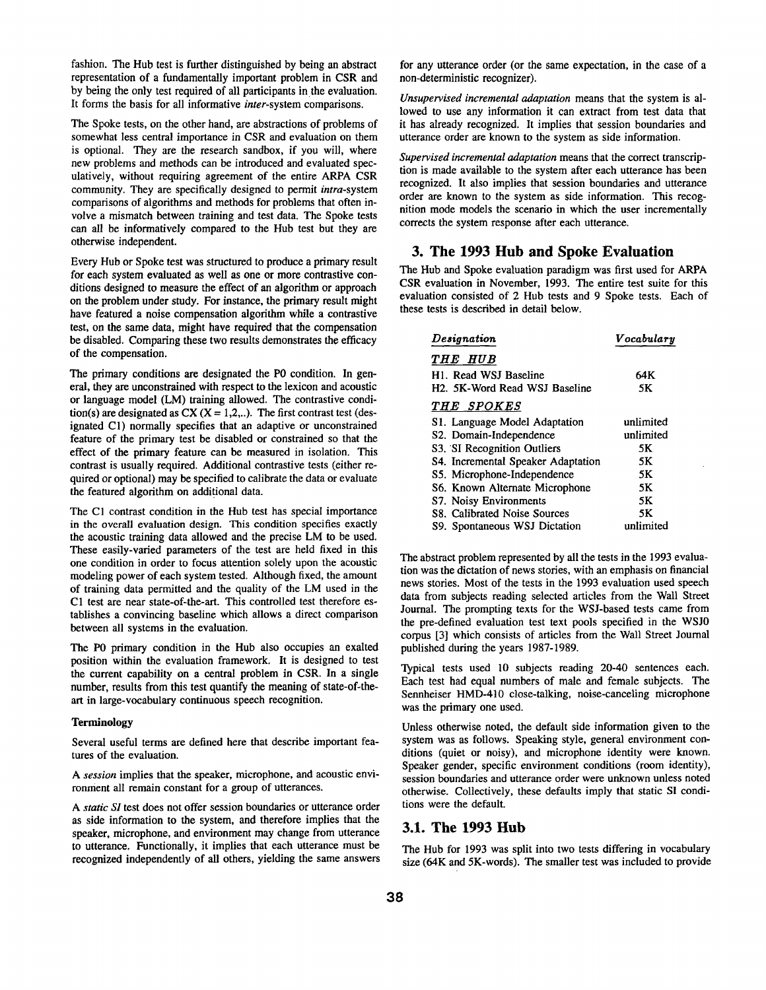fashion. The Hub test is further distinguished by being an abstract representation of a fundamentally important problem in CSR and by being the only test required of all participants in the evaluation. It forms the basis for all informative *inter-system* comparisons.

The Spoke tests, on the other hand, are abstractions of problems of somewhat less central importance in CSR and evaluation on them is optional. They are the research sandbox, if you will, where new problems and methods can be introduced and evaluated speculatively, without requiring agreement of the entire ARPA CSR community. They are specifically designed to permit *intra-system*  comparisons of algorithms and methods for problems that often involve a mismatch between training and test data. The Spoke tests can all be informatively compared to the Hub test but they are otherwise independent.

Every Hub or Spoke test was structured to produce a primary result for each system evaluated as well as one or more contrastive conditions designed to measure the effect of an algorithm or approach on the problem under study. For instance, the primary result might have featured a noise compensation algorithm while a contrastive test, on the same data, might have required that the compensation be disabled. Comparing these two results demonstrates the efficacy of the compensation.

The primary conditions are designated the P0 condition. In general, they are unconstrained with respect to the lexicon and acoustic or language model (LM) training allowed. The contrastive condition(s) are designated as  $CX (X = 1,2, ...)$ . The first contrast test (designated C1) normally specifies that an adaptive or unconstrained feature of the primary test be disabled or constrained so that the effect of the primary feature can be measured in isolation. This contrast is usually required. Additional contrastive tests (either required or optional) may be specified to calibrate the data or evaluate the featured algorithm on additional data.

The CI contrast condition in the Hub test has special importance in the overall evaluation design. This condition specifies exactly the acoustic training data allowed and the precise LM to be used. These easily-varied parameters of the test are held fixed in this one condition in order to focus attention solely upon the acoustic modeling power of each system tested. Although fixed, the amount of training data permitted and the quality of the LM used in the C1 test are near state-of-the-art. This controlled test therefore establishes a convincing baseline which allows a direct comparison between all systems in the evaluation.

The P0 primary condition in the Hub also occupies an exalted position within the evaluation framework. It is designed to test the current capability on a central problem in CSR. In a single number, results from this test quantify the meaning of state-of-theart in large-vocabulary continuous speech recognition.

#### Terminology

Several useful terms are defined here that describe important features of the evaluation.

*A session* implies that the speaker, microphone, and acoustic environment all remain constant for a group of utterances.

*A static SI* test does not offer session boundaries or utterance order as side information to the system, and therefore implies that the speaker, microphone, and environment may change from utterance to utterance. Functionally, it implies that each utterance must be recognized independently of all others, yielding the same answers for any utterance order (or the same expectation, in the case of a non-deterministic recognizer).

*Unsupervised incremental adaptation* means that the system is allowed to use any information it can extract from test data that it has already recognized. It implies that session boundaries and utterance order are known to the system as side information.

*Supervised incremental adaptation* means that the correct transcription is made available to the system after each utterance has been recognized. It also implies that session boundaries and utterance order are known to the system as side information. This recognition mode models the scenario in which the user incrementally corrects the system response after each utterance.

### **3. The 1993 Hub and Spoke Evaluation**

The Hub and Spoke evaluation paradigm was first used for ARPA CSR evaluation in November, 1993. The entire test suite for this evaluation consisted of 2 Hub tests and 9 Spoke tests. Each of these tests is described in detail below.

| Designation                        | Vocabulary |
|------------------------------------|------------|
| <i>THE HUB</i>                     |            |
| H <sub>1</sub> . Read WSJ Baseline | 64 K       |
| H2. 5K-Word Read WSJ Baseline      | 5K         |
| <i>THE SPOKES</i>                  |            |
| S1. Language Model Adaptation      | unlimited  |
| S2. Domain-Independence            | unlimited  |
| S3. SI Recognition Outliers        | 5Κ         |
| S4. Incremental Speaker Adaptation | 5Κ         |
| S5. Microphone-Independence        | 5Κ         |
| S6. Known Alternate Microphone     | 5Κ         |
| S7. Noisy Environments             | 5Κ         |
| S8. Calibrated Noise Sources       | 5K         |
| S9. Spontaneous WSJ Dictation      | unlimited  |

The abstract problem represented by all the tests in the 1993 evaluation was the dictation of news stories, with an emphasis on financial news stories. Most of the tests in the 1993 evaluation used speech data from subjects reading selected articles from the Wall Street Journal. The prompting texts for the WSJ-based tests came from the pre-defined evaluation test text pools specified in the WSJ0 corpus [3] which consists of articles from the Wall Street Joumal published during the years 1987-1989.

Typical tests used 10 subjects reading 20-40 sentences each. Each test had equal numbers of male and female subjects. The Sennheiser HMD-410 close-talking, noise-canceling microphone was the primary one used.

Unless otherwise noted, the default side information given to the system was as follows. Speaking style, general environment conditions (quiet or noisy), and microphone identity were known. Speaker gender, specific environment conditions (room identity), session boundaries and utterance order were unknown unless noted otherwise. Collectively, these defaults imply that static SI conditions were the default.

# **3.1. The 1993 Hub**

The Hub for 1993 was split into two tests differing in vocabulary size (64K and 5K-words). The smaller test was included to provide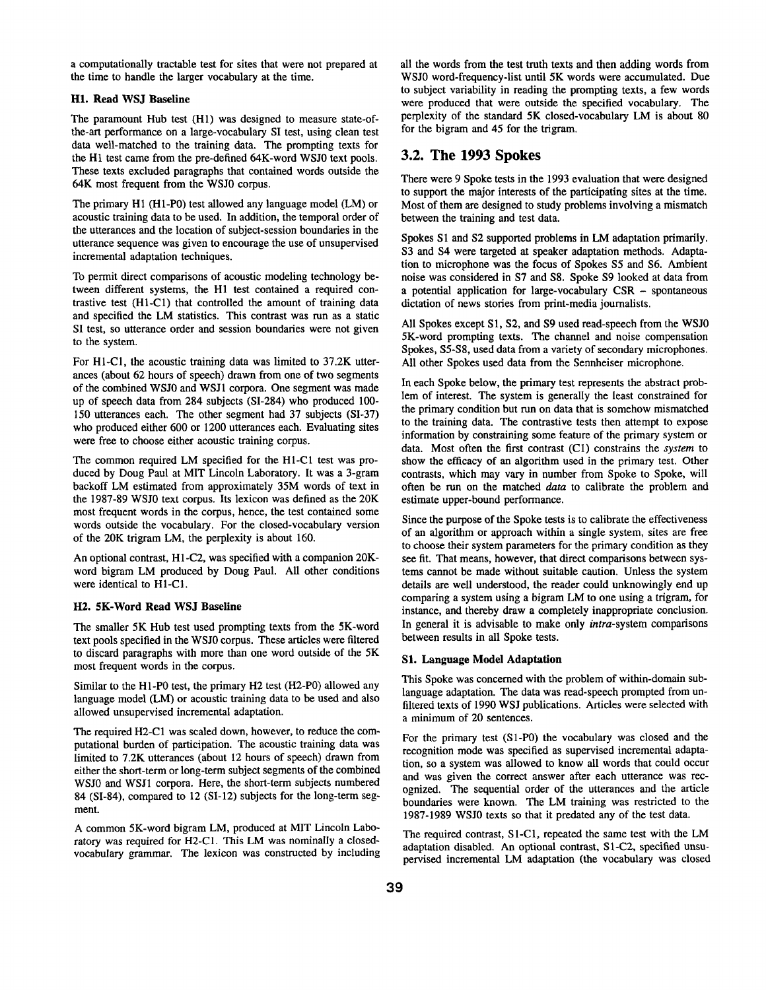a computationally tractable test for sites that were not prepared at the time to handle the larger vocabulary at the time.

#### **HI. Read WSJ Baseline**

The paramount Hub test (H1) was designed to measure state-ofthe-art performance on a large-vocabulary SI test, using clean test data well-matched to the training data. The prompting texts for the HI test came from the pre-defined 64K-word WSJ0 text pools. These texts excluded paragraphs that contained words outside the 64K most frequent from the WSJ0 corpus.

The primary HI (H1-P0) test allowed any language model (LM) or acoustic training data to be used. In addition, the temporal order of the utterances and the location of subject-session boundaries in the utterance sequence was given to encourage the use of unsupervised incremental adaptation techniques.

To permit direct comparisons of acoustic modeling technology between different systems, the HI test contained a required contrastive test (H1-C1) that controlled the amount of training data and specified the LM statistics. This contrast was run as a static SI test, so utterance order and session boundaries were not given to the system.

For H1-C1, the acoustic training data was limited to 37.2K utterances (about 62 hours of speech) drawn from one of two segments of the combined WSJ0 and WSJ1 corpora. One segment was made up of speech data from 284 subjects (SI-284) who produced 100- 150 utterances each. The other segment had 37 subjects (SI-37) who produced either 600 or 1200 utterances each. Evaluating sites were free to choose either acoustic training corpus.

The common required LM specified for the H1-C1 test was produced by Doug Paul at MIT Lincoln Laboratory. It was a 3-gram backoff LM estimated from approximately 35M words of text in the 1987-89 WSJ0 text corpus. Its lexicon was defined as the 20K most frequent words in the corpus, hence, the test contained some words outside the vocabulary. For the closed-vocabulary version of the 20K trigram LM, the perplexity is about 160.

An optional contrast, H1-C2, was specified with a companion 20Kword bigram LM produced by Doug Paul. All other conditions were identical to H1-CI.

#### **H2. 5K-Word Read WSJ Baseline**

The smaller 5K Hub test used prompting texts from the 5K-word text pools specified in the WSJ0 corpus. These articles were filtered to discard paragraphs with more than one word outside of the 5K most frequent words in the corpus.

Similar to the H1-P0 test, the primary H2 test (H2-P0) allowed any language model (LM) or acoustic training data to be used and also allowed unsupervised incremental adaptation.

The required H2-C1 was scaled down, however, to reduce the computational burden of participation. The acoustic training data was limited to 7.2K utterances (about 12 hours of speech) drawn from either the short-term or long-term subject segments of the combined WSJ0 and WSJI corpora. Here, the short-term subjects numbered 84 (SI-84), compared to 12 (SI-12) subjects for the long-term segment.

A common 5K-word bigram LM, produced at MIT Lincoln Laboratory was required for H2-CI. This LM was nominally a closedvocabulary grammar. The lexicon was constructed by including all the words from the test truth texts and then adding words from WSJ0 word-frequency-list until 5K words were accumulated. Due to subject variability in reading the prompting texts, a few words were produced that were outside the specified vocabulary. The perplexity of the standard 5K closed-vocabulary LM is about 80 for the bigram and 45 for the trigram.

## **3.2. The 1993 Spokes**

There were 9 Spoke tests in the 1993 evaluation that were designed to support the major interests of the participating sites at the time. Most of them are designed to study problems involving a mismatch between the training and test data.

Spokes S1 and S2 supported problems in LM adaptation primarily. S3 and S4 were targeted at speaker adaptation methods. Adaptation to microphone was the focus of Spokes \$5 and \$6. Ambient noise was considered in \$7 and \$8. Spoke \$9 looked at data from a potential application for large-vocabulary CSR - spontaneous dictation of news stories from print-media journalists.

All Spokes except S1, \$2, and \$9 used read-speech from the WSJ0 5K-word prompting texts. The channel and noise compensation Spokes, S5-S8, used data from a variety of secondary microphones. All other Spokes used data from the Sennheiser microphone.

In each Spoke below, the primary test represents the abstract problem of interest. The system is generally the least constrained for the primary condition but run on data that is somehow mismatched to the training data. The contrastive tests then attempt to expose information by constraining some feature of the primary system or data. Most often the first contrast (C1) constrains the *system* to show the efficacy of an algorithm used in the primary test. Other contrasts, which may vary in number from Spoke to Spoke, will often be run on the matched *data* to calibrate the problem and estimate upper-bound performance.

Since the purpose of the Spoke tests is to calibrate the effectiveness of an algorithm or approach within a single system, sites are free to choose their system parameters for the primary condition as they see fit. That means, however, that direct comparisons between systems cannot be made without suitable caution. Unless the system details are well understood, the reader could unknowingly end up comparing a system using a bigram LM to one using a trigram, for instance, and thereby draw a completely inappropriate conclusion. In general it is advisable to make only *intra-system* comparisons between results in all Spoke tests.

#### Sl. Language Model Adaptation

This Spoke was concerned with the problem of within-domain sublanguage adaptation. The data was read-speech prompted from unfiltered texts of 1990 WSJ publications. Articles were selected with a minimum of 20 sentences.

For the primary test (S1-P0) the vocabulary was closed and the recognition mode was specified as supervised incremental adaptation, so a system was allowed to know all words that could occur and was given the correct answer after each utterance was recognized. The sequential order of the utterances and the article boundaries were known. The LM training was restricted to the 1987-1989 WSJ0 texts so that it predated any of the test data.

The required contrast, S1-C1, repeated the same test with the LM adaptation disabled. An optional contrast, S1-C2, specified unsupervised incremental LM adaptation (the vocabulary was dosed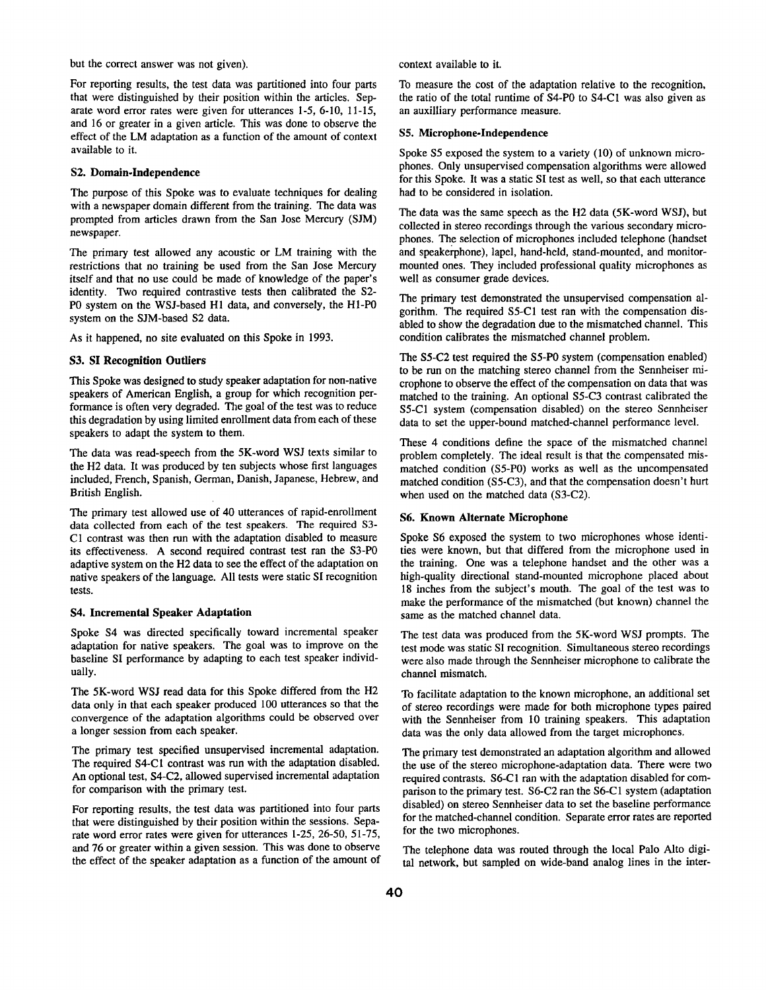but the correct answer was not given).

For reporting results, the test data was partitioned into four parts that were distinguished by their position within the articles. Separate word error rates were given for utterances I-5, 6-10, 11-15, and 16 or greater in a given article. This was done to observe the effect of the LM adaptation as a function of the amount of context available to it.

### **\$2. Domain-Independence**

The purpose of this Spoke was to evaluate techniques for dealing with a newspaper domain different from the training. The data was prompted from articles drawn from the San Jose Mercury (SJM) newspaper.

The primary test allowed any acoustic or LM training with the restrictions that no training be used from the San Jose Mercury itself and that no use could be made of knowledge of the paper's identity. Two required contrastive tests then calibrated the S2- P0 system on the WSJ-based H1 data, and conversely, the H1-P0 system on the SJM-based \$2 data.

As it happened, no site evaluated on this Spoke in 1993.

#### **\$3. SI Recognition Outliers**

This Spoke was designed to study speaker adaptation for non-native speakers of American English, a group for which recognition performance is often very degraded. The goal of the test was to reduce this degradation by using limited enrollment data from each of these speakers to adapt the system to them.

The data was read-speech from the 5K-word WSJ texts similar to the H2 data. It was produced by ten subjects whose first languages included, French, Spanish, German, Danish, Japanese, Hebrew, and British English.

The primary test allowed use of 40 utterances of rapid-enrollment data collected from each of the test speakers. The required S3-CI contrast was then run with the adaptation disabled to measure its effectiveness. A second required contrast test ran the S3-P0 adaptive system on the H2 data to see the effect of the adaptation on native speakers of the language. All tests were static SI recognition tests.

#### **S4. Incremental Speaker Adaptation**

Spoke S4 was directed specifically toward incremental speaker adaptation for native speakers. The goal was to improve on the baseline SI performance by adapting to each test speaker individually.

The 5K-word WSJ read data for this Spoke differed from the H2 data only in that each speaker produced 100 utterances so that the convergence of the adaptation algorithms could be observed over a longer session from each speaker.

The primary test specified unsupervised incremental adaptation. The required \$4-C1 contrast was run with the adaptation disabled. An optional test, \$4-C2, allowed supervised incremental adaptation for comparison with the primary test.

For reporting results, the test data was partitioned into four parts that were distinguished by their position within the sessions. Separate word error rates were given for utterances 1-25, 26-50, 51-75, and 76 or greater within a given session. This was done to observe the effect of the speaker adaptation as a function of the amount of context available to it.

To measure the cost of the adaptation relative to the recognition, the ratio of the total runtime of S4-P0 to S4-C1 was also given as an auxilliary performance measure.

#### S5. **Microphone-Independence**

Spoke S5 exposed the system to a variety (10) of unknown microphones. Only unsupervised compensation algorithms were allowed for this Spoke. It was a static SI test as well, so that each utterance had to be considered in isolation.

The data was the same speech as the H2 data (5K-word WSJ), but collected in stereo recordings through the various secondary microphones. The selection of microphones included telephone (handset and speakerphone), lapel, hand-held, stand-mounted, and monitormounted ones. They included professional quality microphones as well as consumer grade devices.

The primary test demonstrated the unsupervised compensation algorithm. The required \$5-C1 test ran with the compensation disabled to show the degradation due to the mismatched channel. This condition calibrates the mismatched channel problem.

The \$5-C2 test required the S5-P0 system (compensation enabled) to be run on the matching stereo channel from the Sennheiser microphone to observe the effect of the compensation on data that was matched to the training. An optional \$5-C3 contrast calibrated the \$5-C1 system (compensation disabled) on the stereo Sennheiser data to set the upper-bound matched-channel performance level.

These 4 conditions define the space of the mismatched channel problem completely. The ideal result is that the compensated mismatched condition (S5-P0) works as well as the uncompensated matched condition (\$5-C3), and that the compensation doesn't hurt when used on the matched data (S3-C2).

#### **\$6. Known Alternate Microphone**

Spoke S6 exposed the system to two microphones whose identities were known, but that differed from the microphone used in the training. One was a telephone handset and the other was a high-quality directional stand-mounted microphone placed about 18 inches from the subject's mouth. The goal of the test was to make the performance of the mismatched (but known) channel the same as the matched channel data.

The test data was produced from the 5K-word WSJ prompts. The test mode was static SI recognition. Simultaneous stereo recordings were also made through the Sennheiser microphone to calibrate the channel mismatch.

To facilitate adaptation to the known microphone, an additional set of stereo recordings were made for both microphone types paired with the Sennheiser from I0 training speakers. This adaptation data was the only data allowed from the target microphones.

The primary test demonstrated an adaptation algorithm and allowed the use of the stereo microphone-adaptation data. There were two required contrasts. S6-C1 ran with the adaptation disabled for comparison to the primary test. \$6-C2 ran the S6-C1 system (adaptation disabled) on stereo Sennheiser data to set the baseline performance for the matched-channel condition. Separate error rates are reported for the two microphones.

The telephone data was routed through the local Palo Alto digital network, but sampled on wide-band analog lines in the inter-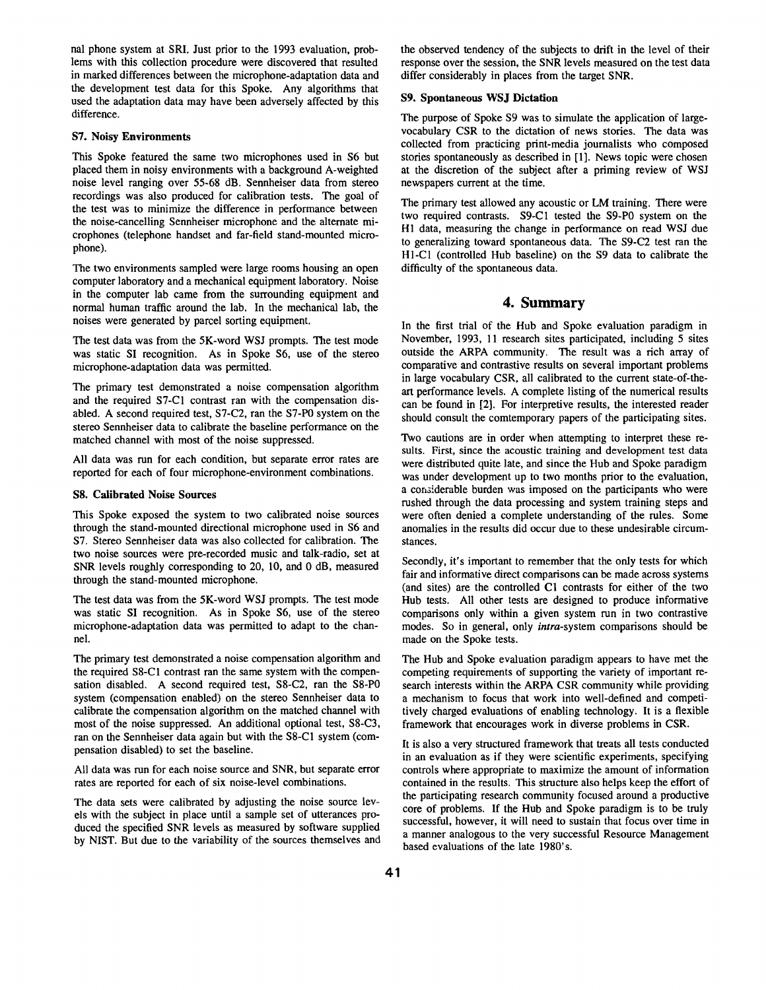nal phone system at SRI. Just prior to the 1993 evaluation, problems with this collection procedure were discovered that resulted in marked differences between the microphone-adaptation data and the development test data for this Spoke. Any algorithms that used the adaptation data may have been adversely affected by this difference.

#### **S7. Noisy Environments**

This Spoke featured the same two microphones used in S6 but placed them in noisy environments with a background A-weighted noise level ranging over 55-68 dB. Sennheiser data from stereo recordings was also produced for calibration tests. The goal of the test was to minimize the difference in performance between the noise-cancelling Sennheiser microphone and the alternate microphones (telephone handset and far-field stand-mounted microphone).

The two environments sampled were large rooms housing an open computer laboratory and a mechanical equipment laboratory. Noise in the computer lab came from the surrounding equipment and normal human traffic around the lab. In the mechanical lab, the noises were generated by parcel sorting equipment.

The test data was from the 5K-word WSJ prompts. The test mode was static SI recognition. As in Spoke S6, use of the stereo microphone-adaptation data was permitted.

The primary test demonstrated a noise compensation algorithm and the required S7-C1 contrast ran with the compensation disabled. A second required test, S7-C2, ran the S7-PO system on the stereo Sennheiser data to calibrate the baseline performance on the matched channel with most of the noise suppressed.

All data was run for each condition, but separate error rates are reported for each of four microphone-environment combinations.

#### **S8. Calibrated Noise Sources**

This Spoke exposed the system to two calibrated noise sources through the stand-mounted directional microphone used in S6 and S7. Stereo Sennheiser data was also collected for calibration. The two noise sources were pre-recorded music and talk-radio, set at SNR levels roughly corresponding to 20, 10, and 0 dB, measured through the stand-mounted microphone.

The test data was from the 5K-word WSJ prompts. The test mode was static SI recognition. As in Spoke *\$6,* use of the stereo microphone-adaptation data was permitted to adapt to the channel.

The primary test demonstrated a noise compensation algorithm and the required S8-C1 contrast ran the same system with the compensation disabled. A second required test, S8-C2, ran the S8-PO system (compensation enabled) on the stereo Sennheiser data to calibrate the compensation algorithm on the matched channel with most of the noise suppressed. An additional optional test, S8-C3, ran on the Sennheiser data again but with the S8-C1 system (compensation disabled) to set the baseline.

All data was run for each noise source and SNR, but separate error rates are reported for each of six noise-level combinations.

The data sets were calibrated by adjusting the noise source levels with the subject in place until a sample set of utterances produced the specified SNR levels as measured by software supplied by NIST. But due to the variability of the sources themselves and the observed tendency of the subjects to drift in the level of their response over the session, the SNR levels measured on the test data differ considerably in places from the target SNR.

#### **S9. Spontaneous WSJ Dictation**

The purpose of Spoke S9 was to simulate the application of largevocabulary CSR to the dictation of news stories. The data was collected from practicing print-media journalists who composed stories spontaneously as described in [I]. News topic were chosen at the discretion of the subject after a priming review of WSJ newspapers current at the time.

The primary test allowed any acoustic or LM training. There were two required contrasts. S9-C1 tested the S9-PO system on the H1 data, measuring the change in performance on read WSJ due to generalizing toward spontaneous data. The S9-C2 test ran the HI-C1 (controlled Hub baseline) on the S9 data to calibrate the difficulty of the spontaneous data.

# **4. Summary**

In the first trial of the Hub and Spoke evaluation paradigm in November, 1993, 11 research sites participated, including 5 sites outside the ARPA community. The result was a rich array of comparative and contrastive results on several important problems in large vocabulary CSR, all calibrated to the current state-of-theart performance levels. A complete listing of the numerical results can be found in 121. For interpretive results, the interested reader should consult the comtemporary papers of the participating sites.

Two cautions are in order when attempting to interpret these results. First, since the acoustic training and development test data were distributed quite late, and since the Hub and Spoke paradigm was under development up to two months prior to the evaluation, a considerable burden was imposed on the participants who were rushed through the data processing and system training steps and were often denied a complete understanding of the rules. Some anomalies in the results did occur due to these undesirable circumstances.

Secondly, it's important to remember that the only tests for which fair and informative direct comparisons can be made across systems (and sites) are the controlled C1 contrasts for either of the two Hub tests. All other tests are designed to produce informative comparisons only within a given system run in two contrastive modes. So in general, only intra-system comparisons should be made on the Spoke tests.

The Hub and Spoke evaluation paradigm appears to have met the competing requirements of supporting the variety of important research interests within the ARPA CSR community while providing a mechanism to focus that work into well-defined and competitively charged evaluations of enabling technology. It is a flexible framework that encourages work in diverse problems in CSR.

It is also a very structured framework that treats all tests conducted in an evaluation as if they were scientific experiments, specifying controls where appropriate to maximize the amount of information contained in the results. This structure also helps keep the effort of the participating research community focused around a productive core of problems. If the Hub and Spoke paradigm is to be truly successful, however, it will need to sustain that focus over time in a manner analogous to the very successful Resource Management based evaluations of the late 1980's.